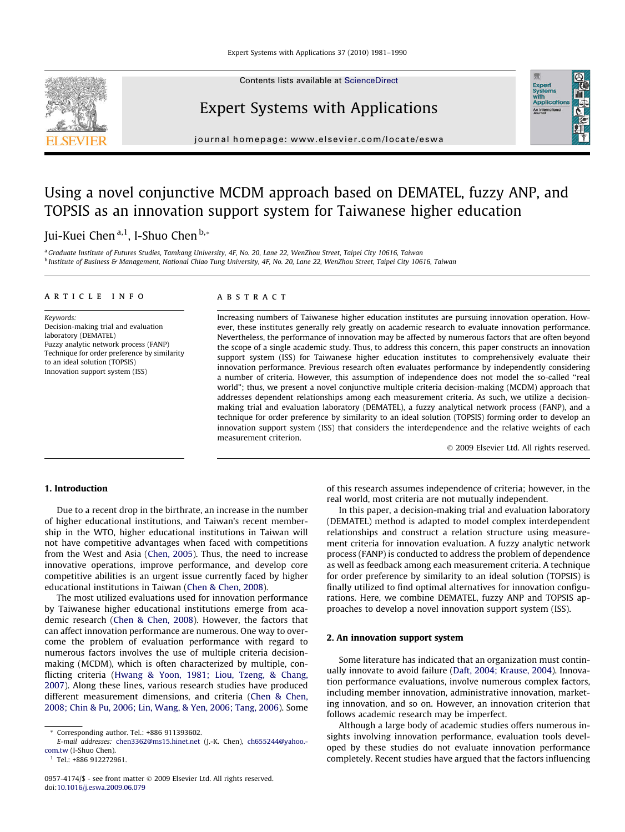Contents lists available at [ScienceDirect](http://www.sciencedirect.com/science/journal/09574174)



# Expert Systems with Applications

journal homepage: [www.elsevier.com/locate/eswa](http://www.elsevier.com/locate/eswa)

# Using a novel conjunctive MCDM approach based on DEMATEL, fuzzy ANP, and TOPSIS as an innovation support system for Taiwanese higher education

Jui-Kuei Chen<sup>a,1</sup>, I-Shuo Chen<sup>b,\*</sup>

<sup>a</sup> Graduate Institute of Futures Studies, Tamkang University, 4F, No. 20, Lane 22, WenZhou Street, Taipei City 10616, Taiwan <sup>b</sup> Institute of Business & Management, National Chiao Tung University, 4F, No. 20, Lane 22, WenZhou Street, Taipei City 10616, Taiwan

#### article info

Keywords: Decision-making trial and evaluation laboratory (DEMATEL) Fuzzy analytic network process (FANP) Technique for order preference by similarity to an ideal solution (TOPSIS) Innovation support system (ISS)

### ABSTRACT

Increasing numbers of Taiwanese higher education institutes are pursuing innovation operation. However, these institutes generally rely greatly on academic research to evaluate innovation performance. Nevertheless, the performance of innovation may be affected by numerous factors that are often beyond the scope of a single academic study. Thus, to address this concern, this paper constructs an innovation support system (ISS) for Taiwanese higher education institutes to comprehensively evaluate their innovation performance. Previous research often evaluates performance by independently considering a number of criteria. However, this assumption of independence does not model the so-called ''real world"; thus, we present a novel conjunctive multiple criteria decision-making (MCDM) approach that addresses dependent relationships among each measurement criteria. As such, we utilize a decisionmaking trial and evaluation laboratory (DEMATEL), a fuzzy analytical network process (FANP), and a technique for order preference by similarity to an ideal solution (TOPSIS) forming order to develop an innovation support system (ISS) that considers the interdependence and the relative weights of each measurement criterion.

- 2009 Elsevier Ltd. All rights reserved.

Expert<br>Systems<br>with<br>Applical

# 1. Introduction

Due to a recent drop in the birthrate, an increase in the number of higher educational institutions, and Taiwan's recent membership in the WTO, higher educational institutions in Taiwan will not have competitive advantages when faced with competitions from the West and Asia ([Chen, 2005\)](#page--1-0). Thus, the need to increase innovative operations, improve performance, and develop core competitive abilities is an urgent issue currently faced by higher educational institutions in Taiwan [\(Chen & Chen, 2008\)](#page--1-0).

The most utilized evaluations used for innovation performance by Taiwanese higher educational institutions emerge from academic research [\(Chen & Chen, 2008](#page--1-0)). However, the factors that can affect innovation performance are numerous. One way to overcome the problem of evaluation performance with regard to numerous factors involves the use of multiple criteria decisionmaking (MCDM), which is often characterized by multiple, conflicting criteria [\(Hwang & Yoon, 1981; Liou, Tzeng, & Chang,](#page--1-0) [2007](#page--1-0)). Along these lines, various research studies have produced different measurement dimensions, and criteria ([Chen & Chen,](#page--1-0) [2008; Chin & Pu, 2006; Lin, Wang, & Yen, 2006; Tang, 2006\)](#page--1-0). Some

E-mail addresses: [chen3362@ms15.hinet.net](mailto:chen3362@ms15.hinet.net) (J.-K. Chen), [ch655244@yahoo.](mailto:ch655244@yahoo.com.tw) [com.tw](mailto:ch655244@yahoo.com.tw) (I-Shuo Chen).

of this research assumes independence of criteria; however, in the real world, most criteria are not mutually independent.

In this paper, a decision-making trial and evaluation laboratory (DEMATEL) method is adapted to model complex interdependent relationships and construct a relation structure using measurement criteria for innovation evaluation. A fuzzy analytic network process (FANP) is conducted to address the problem of dependence as well as feedback among each measurement criteria. A technique for order preference by similarity to an ideal solution (TOPSIS) is finally utilized to find optimal alternatives for innovation configurations. Here, we combine DEMATEL, fuzzy ANP and TOPSIS approaches to develop a novel innovation support system (ISS).

# 2. An innovation support system

Some literature has indicated that an organization must continually innovate to avoid failure ([Daft, 2004; Krause, 2004\)](#page--1-0). Innovation performance evaluations, involve numerous complex factors, including member innovation, administrative innovation, marketing innovation, and so on. However, an innovation criterion that follows academic research may be imperfect.

Although a large body of academic studies offers numerous insights involving innovation performance, evaluation tools developed by these studies do not evaluate innovation performance completely. Recent studies have argued that the factors influencing

Corresponding author. Tel.: +886 911393602.

<sup>1</sup> Tel.: +886 912272961.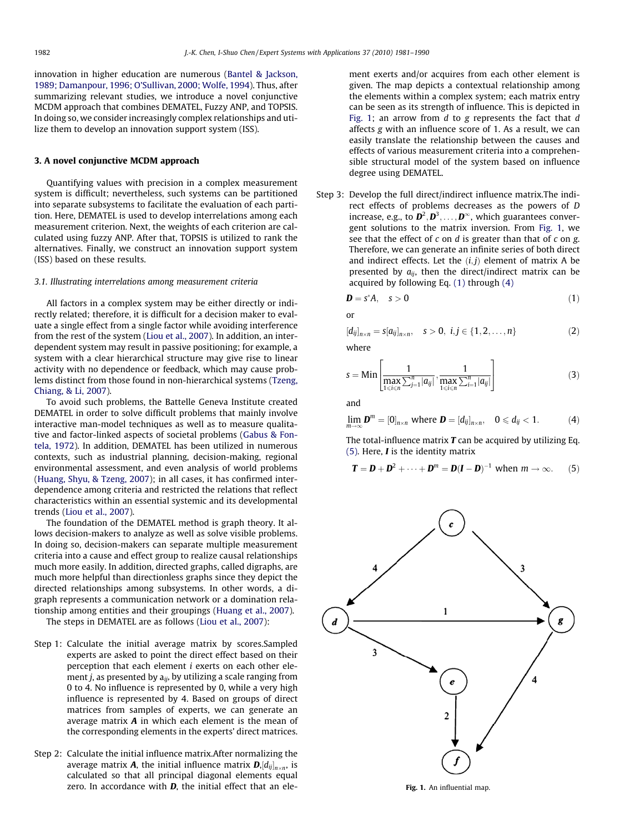innovation in higher education are numerous ([Bantel & Jackson,](#page--1-0) [1989; Damanpour, 1996; O'Sullivan, 2000; Wolfe, 1994\)](#page--1-0). Thus, after summarizing relevant studies, we introduce a novel conjunctive MCDM approach that combines DEMATEL, Fuzzy ANP, and TOPSIS. In doing so, we consider increasingly complex relationships and utilize them to develop an innovation support system (ISS).

# 3. A novel conjunctive MCDM approach

Quantifying values with precision in a complex measurement system is difficult; nevertheless, such systems can be partitioned into separate subsystems to facilitate the evaluation of each partition. Here, DEMATEL is used to develop interrelations among each measurement criterion. Next, the weights of each criterion are calculated using fuzzy ANP. After that, TOPSIS is utilized to rank the alternatives. Finally, we construct an innovation support system (ISS) based on these results.

## 3.1. Illustrating interrelations among measurement criteria

All factors in a complex system may be either directly or indirectly related; therefore, it is difficult for a decision maker to evaluate a single effect from a single factor while avoiding interference from the rest of the system ([Liou et al., 2007\)](#page--1-0). In addition, an interdependent system may result in passive positioning; for example, a system with a clear hierarchical structure may give rise to linear activity with no dependence or feedback, which may cause problems distinct from those found in non-hierarchical systems ([Tzeng,](#page--1-0) [Chiang, & Li, 2007](#page--1-0)).

To avoid such problems, the Battelle Geneva Institute created DEMATEL in order to solve difficult problems that mainly involve interactive man-model techniques as well as to measure qualitative and factor-linked aspects of societal problems ([Gabus & Fon](#page--1-0)[tela, 1972\)](#page--1-0). In addition, DEMATEL has been utilized in numerous contexts, such as industrial planning, decision-making, regional environmental assessment, and even analysis of world problems ([Huang, Shyu, & Tzeng, 2007](#page--1-0)); in all cases, it has confirmed interdependence among criteria and restricted the relations that reflect characteristics within an essential systemic and its developmental trends [\(Liou et al., 2007](#page--1-0)).

The foundation of the DEMATEL method is graph theory. It allows decision-makers to analyze as well as solve visible problems. In doing so, decision-makers can separate multiple measurement criteria into a cause and effect group to realize causal relationships much more easily. In addition, directed graphs, called digraphs, are much more helpful than directionless graphs since they depict the directed relationships among subsystems. In other words, a digraph represents a communication network or a domination relationship among entities and their groupings [\(Huang et al., 2007\)](#page--1-0).

The steps in DEMATEL are as follows ([Liou et al., 2007](#page--1-0)):

- Step 1: Calculate the initial average matrix by scores.Sampled experts are asked to point the direct effect based on their perception that each element i exerts on each other element *j*, as presented by  $a_{ij}$ , by utilizing a scale ranging from 0 to 4. No influence is represented by 0, while a very high influence is represented by 4. Based on groups of direct matrices from samples of experts, we can generate an average matrix  $A$  in which each element is the mean of the corresponding elements in the experts' direct matrices.
- Step 2: Calculate the initial influence matrix.After normalizing the average matrix **A**, the initial influence matrix  $\boldsymbol{D} , [d_{ij}]_{n \times n}$ , is calculated so that all principal diagonal elements equal zero. In accordance with  $D$ , the initial effect that an ele-

ment exerts and/or acquires from each other element is given. The map depicts a contextual relationship among the elements within a complex system; each matrix entry can be seen as its strength of influence. This is depicted in Fig. 1; an arrow from  $d$  to g represents the fact that  $d$ affects g with an influence score of 1. As a result, we can easily translate the relationship between the causes and effects of various measurement criteria into a comprehensible structural model of the system based on influence degree using DEMATEL.

Step 3: Develop the full direct/indirect influence matrix.The indirect effects of problems decreases as the powers of D increase, e.g., to  $\mathbf{D}^2$ ,  $\mathbf{D}^3$ , ...,  $\mathbf{D}^{\infty}$ , which guarantees convergent solutions to the matrix inversion. From Fig. 1, we see that the effect of  $c$  on  $d$  is greater than that of  $c$  on  $g$ . Therefore, we can generate an infinite series of both direct and indirect effects. Let the  $(i, j)$  element of matrix A be presented by  $a_{ij}$ , then the direct/indirect matrix can be acquired by following Eq. (1) through (4)

$$
\mathbf{D} = \mathbf{s}^* \mathbf{A}, \quad \mathbf{s} > \mathbf{0} \tag{1}
$$

or

$$
[d_{ij}]_{n \times n} = s[a_{ij}]_{n \times n}, \quad s > 0, \ i, j \in \{1, 2, \dots, n\}
$$
 (2)

where

$$
s = \min \left[ \frac{1}{\max_{1 \le i \le n} \sum_{j=1}^{n} |a_{ij}|}, \frac{1}{\max_{1 \le i \le n} \sum_{i=1}^{n} |a_{ij}|} \right]
$$
(3)

and

$$
\lim_{m\to\infty}\mathbf{D}^m=\left[0\right]_{n\times n}\text{ where }\mathbf{D}=\left[d_{ij}\right]_{n\times n},\quad 0\leqslant d_{ij}<1. \tag{4}
$$

The total-influence matrix  $T$  can be acquired by utilizing Eq.  $(5)$ . Here, *I* is the identity matrix

$$
\mathbf{T} = \mathbf{D} + \mathbf{D}^2 + \dots + \mathbf{D}^m = \mathbf{D}(\mathbf{I} - \mathbf{D})^{-1}
$$
 when  $m \to \infty$ . (5)



Fig. 1. An influential map.